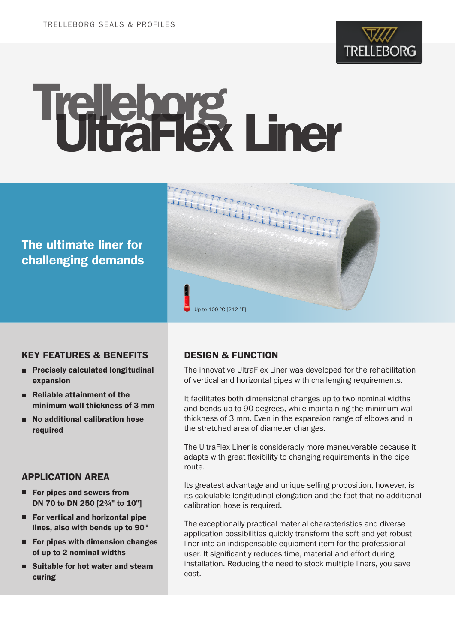

# Trelleborg Liner

# The ultimate liner for challenging demands



#### KEY FEATURES & BENEFITS

- Precisely calculated longitudinal expansion
- Reliable attainment of the minimum wall thickness of 3 mm
- No additional calibration hose required

# APPLICATION AREA

- For pipes and sewers from DN 70 to DN 250 [2¾" to 10"]
- For vertical and horizontal pipe lines, also with bends up to 90°
- $\blacksquare$  For pipes with dimension changes of up to 2 nominal widths
- Suitable for hot water and steam curing

# DESIGN & FUNCTION

The innovative UltraFlex Liner was developed for the rehabilitation of vertical and horizontal pipes with challenging requirements.

It facilitates both dimensional changes up to two nominal widths and bends up to 90 degrees, while maintaining the minimum wall thickness of 3 mm. Even in the expansion range of elbows and in the stretched area of diameter changes.

The UltraFlex Liner is considerably more maneuverable because it adapts with great flexibility to changing requirements in the pipe route.

Its greatest advantage and unique selling proposition, however, is its calculable longitudinal elongation and the fact that no additional calibration hose is required.

The exceptionally practical material characteristics and diverse application possibilities quickly transform the soft and yet robust liner into an indispensable equipment item for the professional user. It significantly reduces time, material and effort during installation. Reducing the need to stock multiple liners, you save cost.